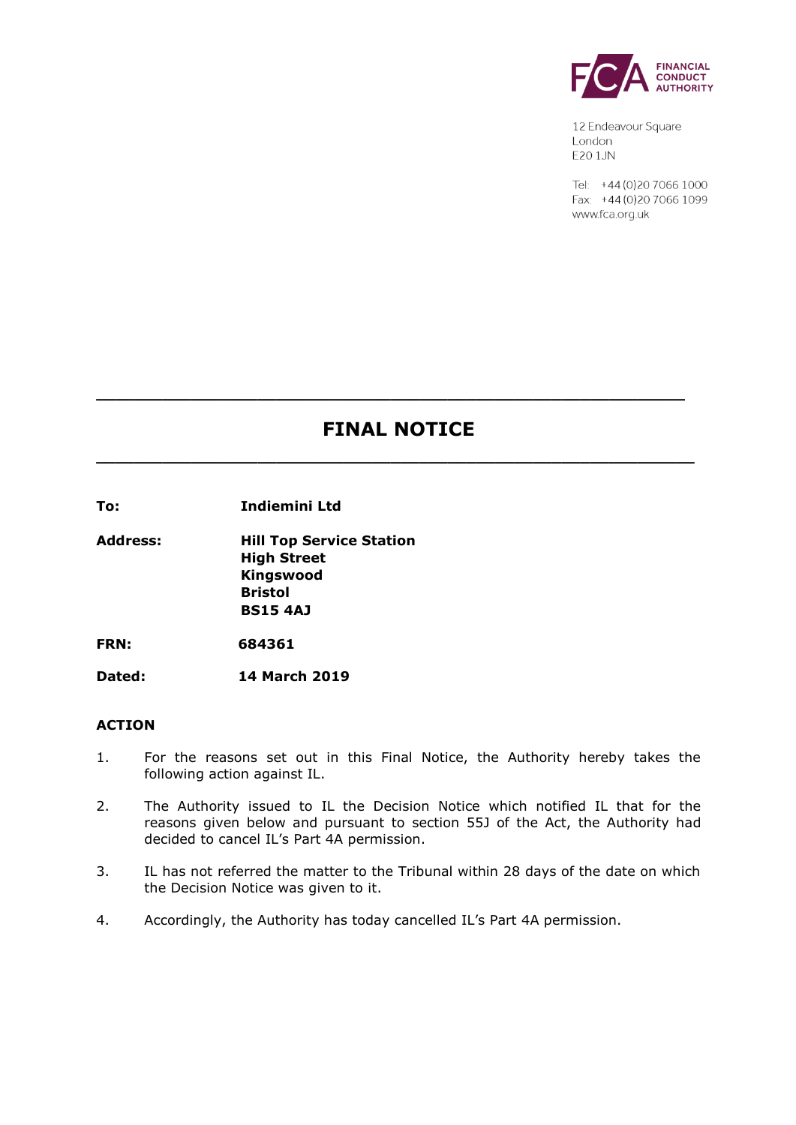

12 Endeavour Square London E201JN

Tel: +44 (0) 20 7066 1000 Fax: +44 (0) 20 7066 1099 www.fca.org.uk

# **FINAL NOTICE**

**\_\_\_\_\_\_\_\_\_\_\_\_\_\_\_\_\_\_\_\_\_\_\_\_\_\_\_\_\_\_\_\_\_\_\_\_\_\_\_\_\_\_\_\_\_\_\_\_\_\_\_\_\_\_\_\_\_\_\_\_\_\_\_**

**\_\_\_\_\_\_\_\_\_\_\_\_\_\_\_\_\_\_\_\_\_\_\_\_\_\_\_\_\_\_\_\_\_\_\_\_\_\_\_\_\_\_\_\_\_\_\_\_\_\_\_\_\_\_\_\_\_\_\_\_\_\_**

**To: Indiemini Ltd**

**Address: Hill Top Service Station High Street Kingswood Bristol BS15 4AJ** 

**FRN: 684361**

**Dated: 14 March 2019**

### **ACTION**

- 1. For the reasons set out in this Final Notice, the Authority hereby takes the following action against IL.
- 2. The Authority issued to IL the Decision Notice which notified IL that for the reasons given below and pursuant to section 55J of the Act, the Authority had decided to cancel IL's Part 4A permission.
- 3. IL has not referred the matter to the Tribunal within 28 days of the date on which the Decision Notice was given to it.
- 4. Accordingly, the Authority has today cancelled IL's Part 4A permission.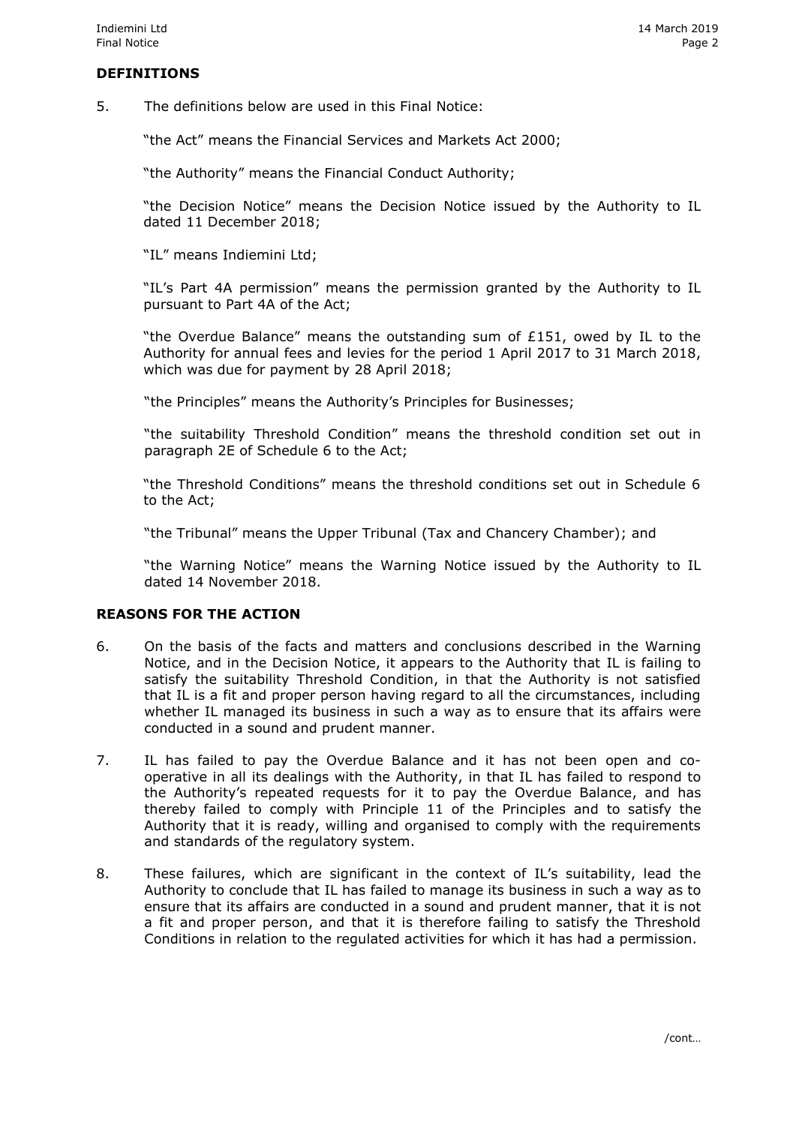#### **DEFINITIONS**

5. The definitions below are used in this Final Notice:

"the Act" means the Financial Services and Markets Act 2000;

"the Authority" means the Financial Conduct Authority;

"the Decision Notice" means the Decision Notice issued by the Authority to IL dated 11 December 2018;

"IL" means Indiemini Ltd;

"IL's Part 4A permission" means the permission granted by the Authority to IL pursuant to Part 4A of the Act;

"the Overdue Balance" means the outstanding sum of  $£151$ , owed by IL to the Authority for annual fees and levies for the period 1 April 2017 to 31 March 2018, which was due for payment by 28 April 2018;

"the Principles" means the Authority's Principles for Businesses;

"the suitability Threshold Condition" means the threshold condition set out in paragraph 2E of Schedule 6 to the Act;

"the Threshold Conditions" means the threshold conditions set out in Schedule 6 to the Act;

"the Tribunal" means the Upper Tribunal (Tax and Chancery Chamber); and

"the Warning Notice" means the Warning Notice issued by the Authority to IL dated 14 November 2018.

## **REASONS FOR THE ACTION**

- 6. On the basis of the facts and matters and conclusions described in the Warning Notice, and in the Decision Notice, it appears to the Authority that IL is failing to satisfy the suitability Threshold Condition, in that the Authority is not satisfied that IL is a fit and proper person having regard to all the circumstances, including whether IL managed its business in such a way as to ensure that its affairs were conducted in a sound and prudent manner.
- 7. IL has failed to pay the Overdue Balance and it has not been open and cooperative in all its dealings with the Authority, in that IL has failed to respond to the Authority's repeated requests for it to pay the Overdue Balance, and has thereby failed to comply with Principle 11 of the Principles and to satisfy the Authority that it is ready, willing and organised to comply with the requirements and standards of the regulatory system.
- 8. These failures, which are significant in the context of IL's suitability, lead the Authority to conclude that IL has failed to manage its business in such a way as to ensure that its affairs are conducted in a sound and prudent manner, that it is not a fit and proper person, and that it is therefore failing to satisfy the Threshold Conditions in relation to the regulated activities for which it has had a permission.